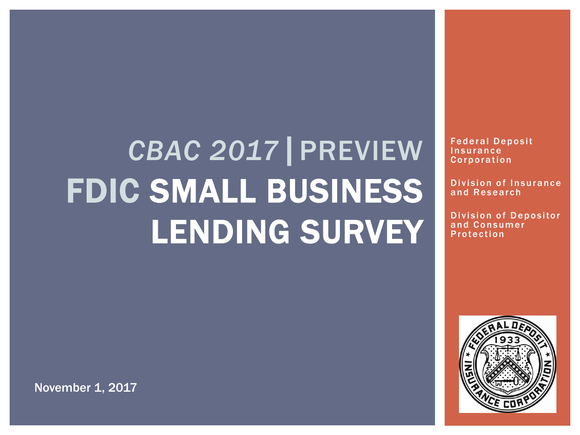# *CBAC 2017*|PREVIEW FDIC SMALL BUSINESS LENDING SURVEY

Federal Deposit **Insurance Corporation** 

Division of Insurance and Research

Division of Depositor and Consumer **Protection** 



November 1, 2017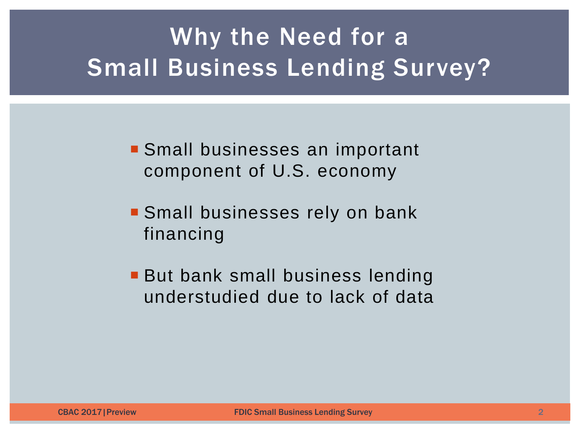## Why the Need for a Small Business Lending Survey?

 Small businesses an important component of U.S. economy

- **Small businesses rely on bank** financing
- **But bank small business lending** understudied due to lack of data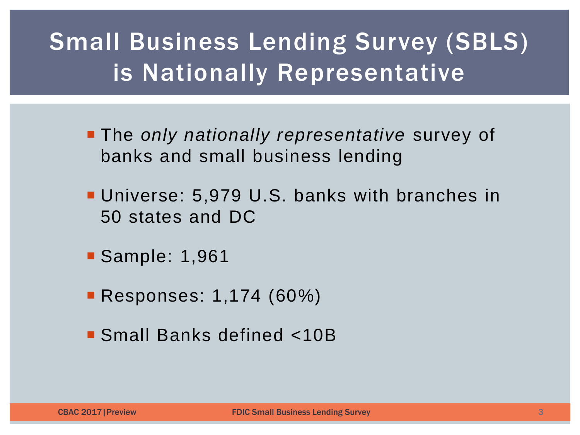## Small Business Lending Survey (SBLS) is Nationally Representative

- The *only nationally representative* survey of banks and small business lending
- **Universe: 5,979 U.S. banks with branches in** 50 states and DC
- **Sample: 1,961**
- **Responses: 1,174 (60%)**
- Small Banks defined <10B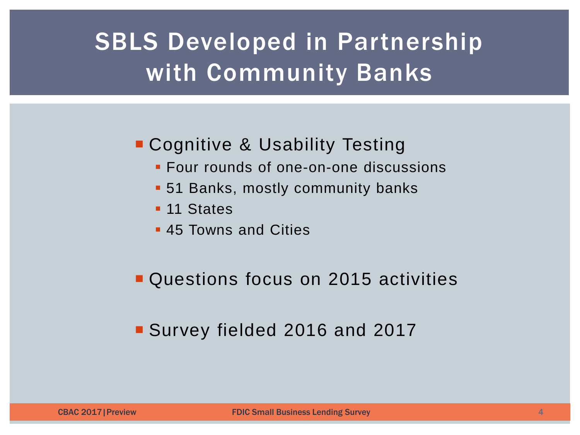## **SBLS Developed in Partnership** with Community Banks

#### **Cognitive & Usability Testing**

- **Four rounds of one-on-one discussions**
- 51 Banks, mostly community banks
- **11 States**
- **45 Towns and Cities**

#### Questions focus on 2015 activities

#### Survey fielded 2016 and 2017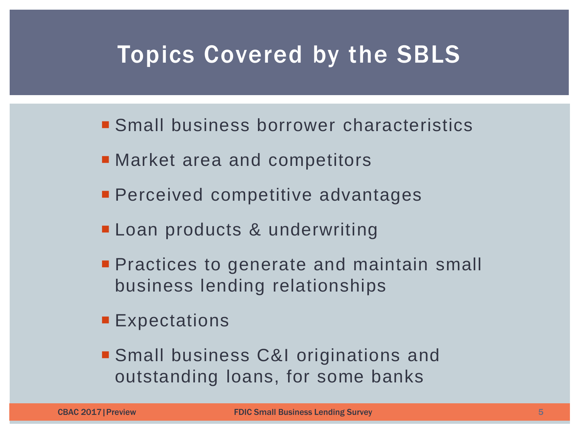### Topics Covered by the SBLS

- Small business borrower characteristics
- Market area and competitors
- **Perceived competitive advantages**
- **Loan products & underwriting**
- **Practices to generate and maintain small** business lending relationships
- **Expectations**
- Small business C&I originations and outstanding loans, for some banks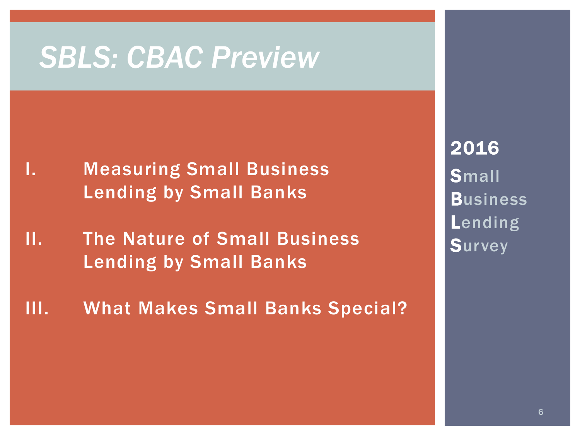## *SBLS: CBAC Preview*

- I. Measuring Small Business Lending by Small Banks
- II. The Nature of Small Business Lending by Small Banks
- III. What Makes Small Banks Special?

2016 **Small Business** Lending **Survey**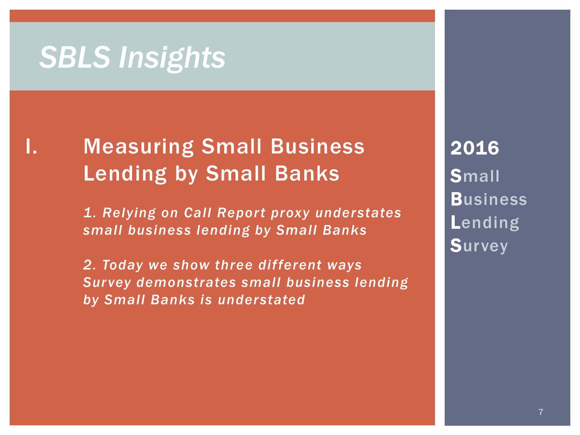## *SBLS Insights*

### I. Measuring Small Business Lending by Small Banks

 *1. Relying on Call Report proxy understates small business lending by Small Banks* 

*2. Today we show three different ways Survey demonstrates small business lending by Small Banks is understated*

2016 **Small Business** Lending **Survey**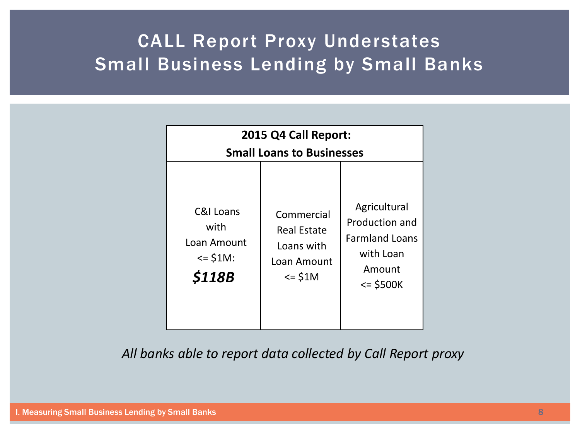#### CALL Report Proxy Understates Small Business Lending by Small Banks

| 2015 Q4 Call Report:                                                  |                                                                                                  |                                                                                             |  |  |
|-----------------------------------------------------------------------|--------------------------------------------------------------------------------------------------|---------------------------------------------------------------------------------------------|--|--|
| <b>Small Loans to Businesses</b>                                      |                                                                                                  |                                                                                             |  |  |
| C&I Loans<br>with<br>Loan Amount<br>$= $1M$ :<br><i><b>\$118B</b></i> | Commercial<br><b>Real Estate</b><br>Loans with<br>Loan Amount<br>$\le$ $\le$ $\frac{1}{2}$ $\le$ | Agricultural<br>Production and<br><b>Farmland Loans</b><br>with Loan<br>Amount<br>$= $500K$ |  |  |

*All banks able to report data collected by Call Report proxy*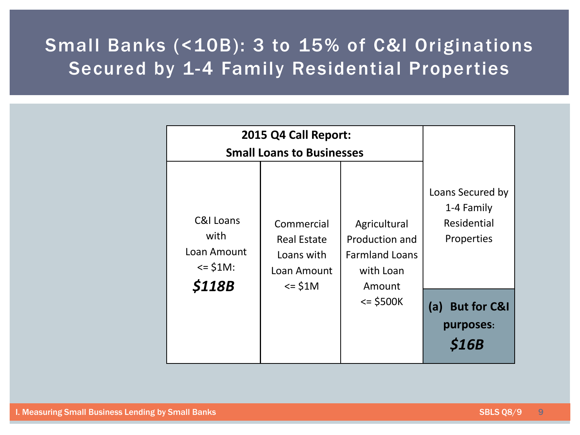#### Small Banks (<10B): 3 to 15% of C&I Originations Secured by 1-4 Family Residential Properties

| 2015 Q4 Call Report:                                                             |                                                                                                    |                                                                                             |                                                                                                                           |
|----------------------------------------------------------------------------------|----------------------------------------------------------------------------------------------------|---------------------------------------------------------------------------------------------|---------------------------------------------------------------------------------------------------------------------------|
| <b>Small Loans to Businesses</b>                                                 |                                                                                                    |                                                                                             |                                                                                                                           |
| <b>C&amp;I Loans</b><br>with<br>Loan Amount<br>$= $1M$ :<br><i><b>\$118B</b></i> | Commercial<br><b>Real Estate</b><br>Loans with<br>Loan Amount<br>$\le$ $\frac{1}{2}$ $\frac{1}{2}$ | Agricultural<br>Production and<br><b>Farmland Loans</b><br>with Loan<br>Amount<br>$= $500K$ | Loans Secured by<br>1-4 Family<br>Residential<br>Properties<br><b>But for C&amp;I</b><br>(a)<br>purposes:<br><b>\$16B</b> |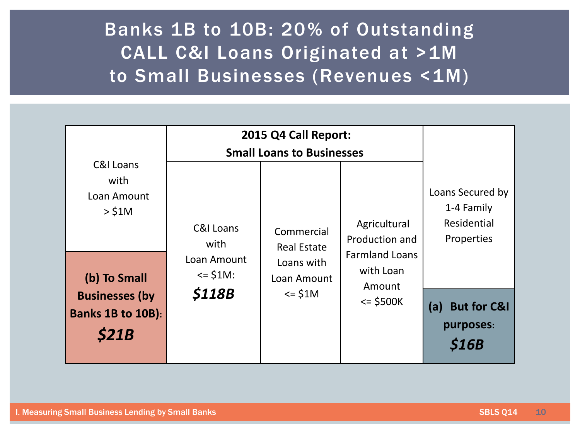#### Banks 1B to 10B: 20% of Outstanding CALL C&I Loans Originated at >1M to Small Businesses (Revenues <1M)

|                                                                                          | 2015 Q4 Call Report:<br><b>Small Loans to Businesses</b>        |                                                                |                                                              |                                                             |
|------------------------------------------------------------------------------------------|-----------------------------------------------------------------|----------------------------------------------------------------|--------------------------------------------------------------|-------------------------------------------------------------|
| C&I Loans<br>with<br>Loan Amount<br>$>$ \$1M                                             | C&I Loans<br>with                                               | Commercial<br><b>Real Estate</b>                               | Agricultural<br>Production and                               | Loans Secured by<br>1-4 Family<br>Residential<br>Properties |
| (b) To Small<br><b>Businesses (by</b><br><b>Banks 1B to 10B):</b><br><i><b>\$21B</b></i> | Loan Amount<br>$\le$ $\frac{1}{2}$ S1M:<br><i><b>\$118B</b></i> | Loans with<br>Loan Amount<br>$\le$ $\frac{1}{2}$ $\frac{1}{2}$ | <b>Farmland Loans</b><br>with Loan<br>Amount<br>$\le$ \$500K | <b>But for C&amp;I</b><br>(a)<br>purposes:<br><b>S16B</b>   |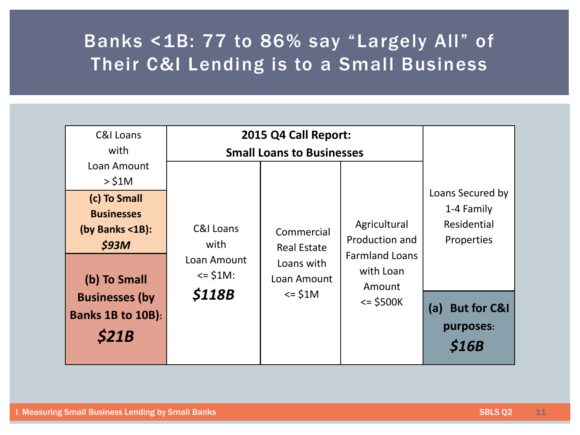#### Banks <1B: 77 to 86% say "Largely All" of Their C&I Lending is to a Small Business

| C&I Loans                                                            | 2015 Q4 Call Report:                    |                                   |                                              |                                                             |
|----------------------------------------------------------------------|-----------------------------------------|-----------------------------------|----------------------------------------------|-------------------------------------------------------------|
| with                                                                 | <b>Small Loans to Businesses</b>        |                                   |                                              |                                                             |
| Loan Amount                                                          |                                         |                                   |                                              |                                                             |
| $>$ \$1M                                                             |                                         |                                   |                                              |                                                             |
| (c) To Small<br><b>Businesses</b><br>(by Banks $\leq 1B$ ):<br>\$93M | <b>C&amp;I Loans</b><br>with            | Commercial<br><b>Real Estate</b>  | Agricultural<br>Production and               | Loans Secured by<br>1-4 Family<br>Residential<br>Properties |
| (b) To Small                                                         | Loan Amount<br>$\le$ $\frac{1}{2}$ S1M: | Loans with<br>Loan Amount         | <b>Farmland Loans</b><br>with Loan<br>Amount |                                                             |
| <b>Businesses (by</b><br><b>Banks 1B to 10B):</b><br>\$21B           | <i><b>\$118B</b></i>                    | $\le$ $\frac{1}{2}$ $\frac{1}{2}$ | $=$ \$500K                                   | (a) But for C&I<br>purposes:<br><b>S16B</b>                 |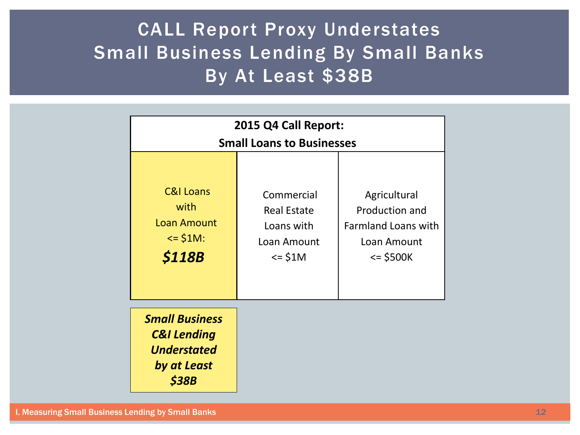#### CALL Report Proxy Understates Small Business Lending By Small Banks By At Least \$38B

| 2015 Q4 Call Report:                                                                                    |                                                                                                    |                                                                                          |  |  |
|---------------------------------------------------------------------------------------------------------|----------------------------------------------------------------------------------------------------|------------------------------------------------------------------------------------------|--|--|
| <b>Small Loans to Businesses</b>                                                                        |                                                                                                    |                                                                                          |  |  |
| <b>C&amp;I Loans</b><br>with<br><b>Loan Amount</b><br>$\le$ $\frac{1}{2}$ \$1M:<br><i><b>\$118B</b></i> | Commercial<br><b>Real Estate</b><br>Loans with<br>Loan Amount<br>$\le$ $\frac{1}{2}$ $\frac{1}{2}$ | Agricultural<br>Production and<br><b>Farmland Loans with</b><br>Loan Amount<br>$= $500K$ |  |  |
| <b>Small Business</b><br><b>C&amp;I Lending</b><br><b>Understated</b><br>by at Least<br>\$38B           |                                                                                                    |                                                                                          |  |  |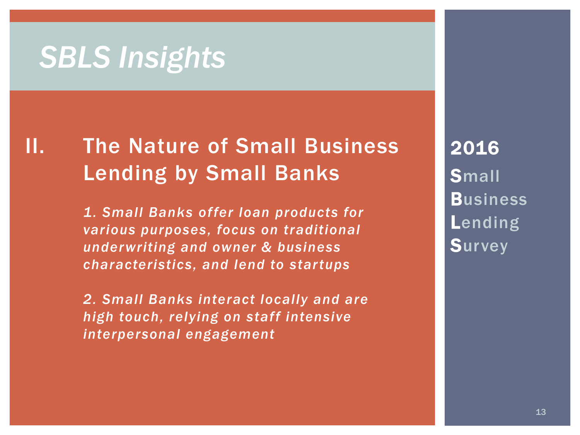## *SBLS Insights*

### II. The Nature of Small Business Lending by Small Banks

*1. Small Banks offer loan products for various purposes, focus on traditional underwriting and owner & business characteristics, and lend to startups* 

*2. Small Banks interact locally and are high touch, relying on staff intensive interpersonal engagement*

2016 **Small Business** Lending **Survey**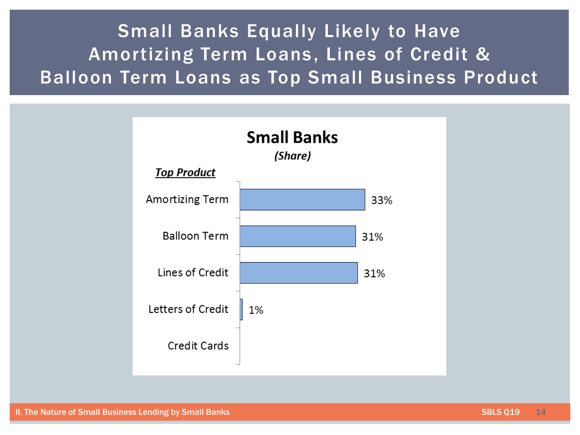#### Small Banks Equally Likely to Have Amortizing Term Loans, Lines of Credit & Balloon Term Loans as Top Small Business Product

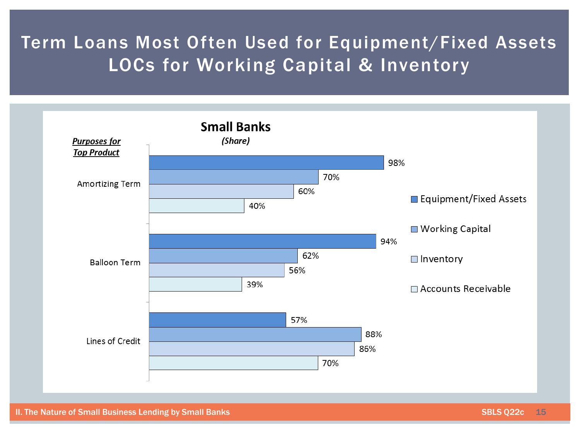#### Term Loans Most Often Used for Equipment/Fixed Assets LOCs for Working Capital & Inventory

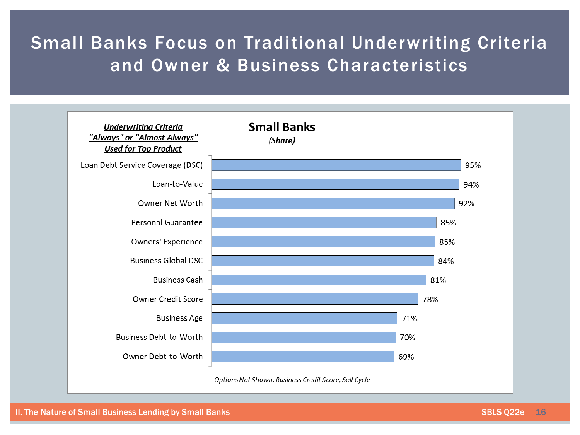#### Small Banks Focus on Traditional Underwriting Criteria and Owner & Business Characteristics

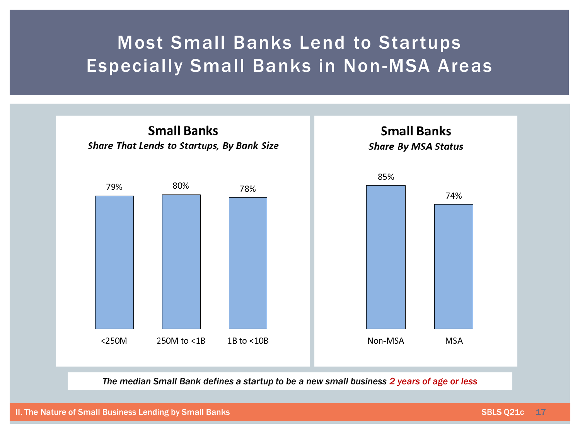#### Most Small Banks Lend to Startups Especially Small Banks in Non-MSA Areas



*The median Small Bank defines a startup to be a new small business 2 years of age or less*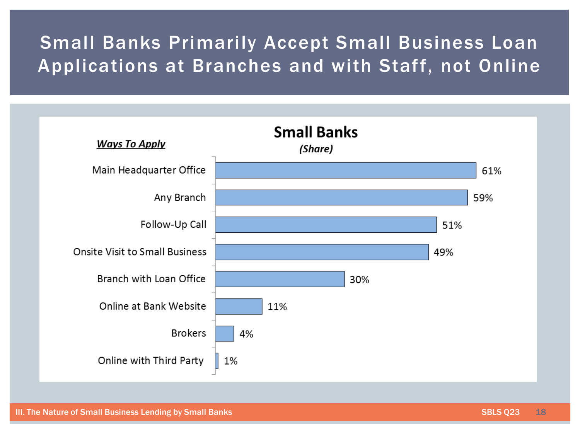#### Small Banks Primarily Accept Small Business Loan Applications at Branches and with Staff, not Online

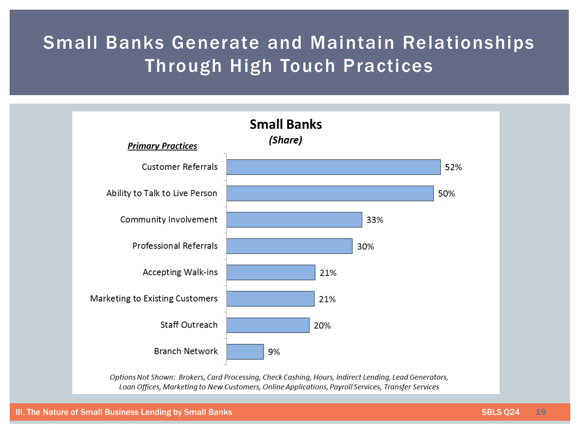#### Small Banks Generate and Maintain Relationships Through High Touch Practices



Options Not Shown: Brokers, Card Processing, Check Cashing, Hours, Indirect Lending, Lead Generators, Loan Offices, Marketing to New Customers, Online Applications, Payroll Services, Transfer Services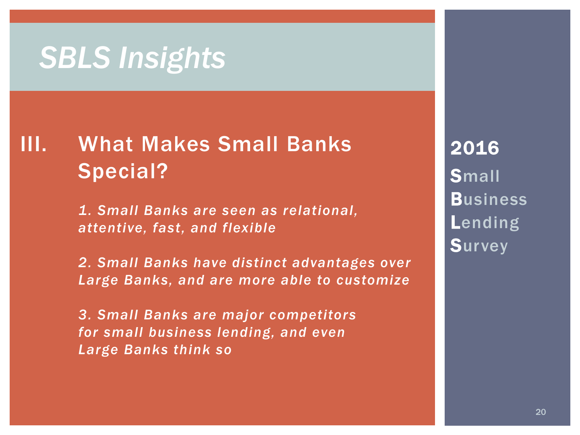## *SBLS Insights*

### III. What Makes Small Banks Special?

*1. Small Banks are seen as relational, attentive, fast, and flexible*

*2. Small Banks have distinct advantages over Large Banks, and are more able to customize*

*3. Small Banks are major competitors for small business lending, and even Large Banks think so*

2016 **Small Business** Lending **Survey**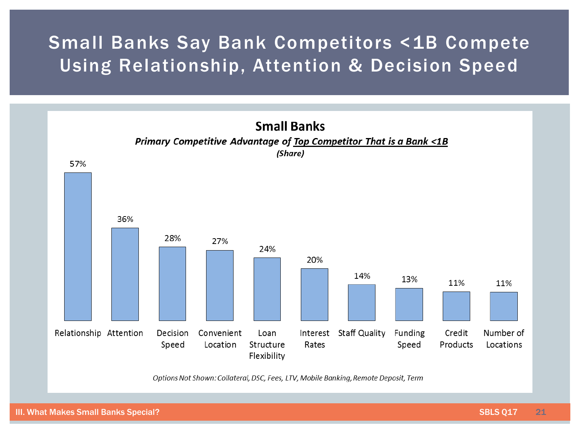#### Small Banks Say Bank Competitors <1B Compete Using Relationship, Attention & Decision Speed



Options Not Shown: Collateral, DSC, Fees, LTV, Mobile Banking, Remote Deposit, Term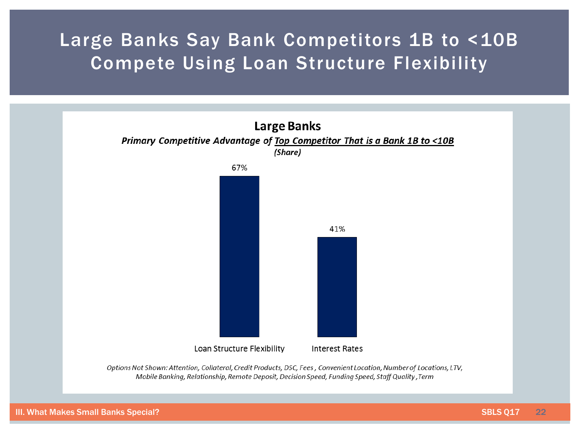#### Large Banks Say Bank Competitors 1B to <10B Compete Using Loan Structure Flexibility

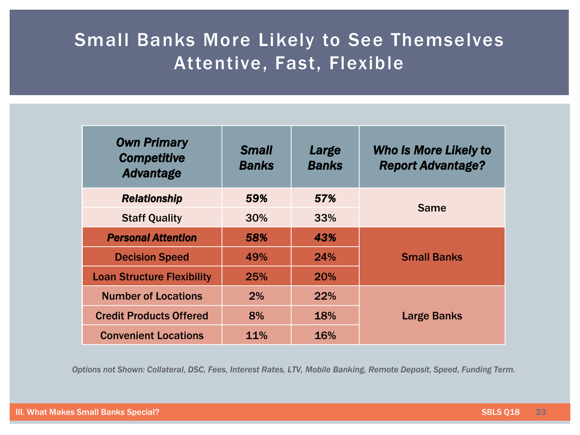#### Small Banks More Likely to See Themselves Attentive, Fast, Flexible

| <b>Own Primary</b><br><b>Competitive</b><br><b>Advantage</b> | <b>Small</b><br><b>Banks</b> | Large<br><b>Banks</b> | <b>Who Is More Likely to</b><br><b>Report Advantage?</b> |  |
|--------------------------------------------------------------|------------------------------|-----------------------|----------------------------------------------------------|--|
| <b>Relationship</b>                                          | 59%                          | 57%                   | <b>Same</b>                                              |  |
| <b>Staff Quality</b>                                         | 30%                          | 33%                   |                                                          |  |
| <b>Personal Attention</b>                                    | 58%                          | 43%                   | <b>Small Banks</b>                                       |  |
| <b>Decision Speed</b>                                        | 49%                          | 24%                   |                                                          |  |
| <b>Loan Structure Flexibility</b>                            | 25%                          | <b>20%</b>            |                                                          |  |
| <b>Number of Locations</b>                                   | 2%                           | <b>22%</b>            | <b>Large Banks</b>                                       |  |
| <b>Credit Products Offered</b>                               | 8%                           | 18%                   |                                                          |  |
| <b>Convenient Locations</b>                                  | 11%                          | 16%                   |                                                          |  |

*Options not Shown: Collateral, DSC, Fees, Interest Rates, LTV, Mobile Banking, Remote Deposit, Speed, Funding Term.*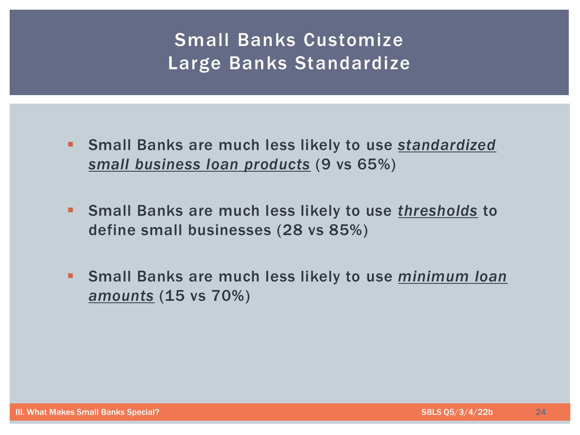#### Small Banks Customize Large Banks Standardize

- Small Banks are much less likely to use *standardized small business loan products* (9 vs 65%)
- Small Banks are much less likely to use *thresholds* to define small businesses (28 vs 85%)
- Small Banks are much less likely to use *minimum loan amounts* (15 vs 70%)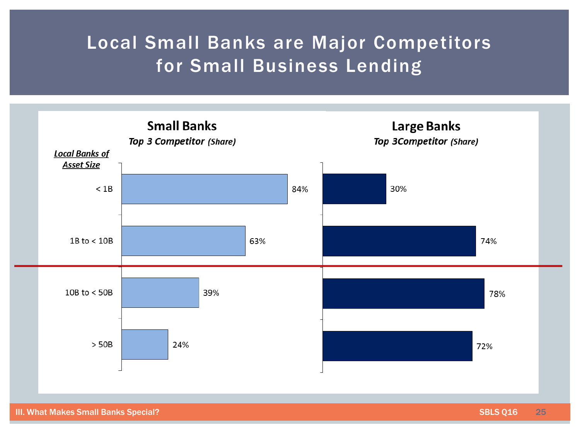#### Local Small Banks are Major Competitors for Small Business Lending



III. What Makes Small Banks Special? SBLS Q16 25 SBLS Q16 25 SBLS Q16 25 SBLS Q16 25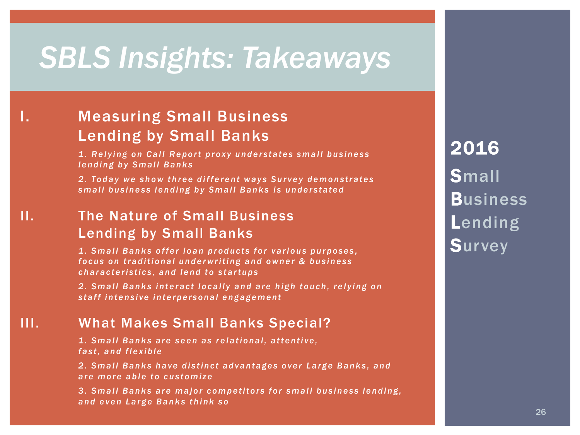## *SBLS Insights: Takeaways*

#### I. Measuring Small Business Lending by Small Banks

*1. Relying on Call Report proxy understates small business lending by Small Banks* 

*2 . T o d a y w e s h o w t h r e e d i f f e r e n t w a y s S u r v e y d e m o n s t r a t e s*  small business lending by Small Banks is understated

#### II. The Nature of Small Business Lending by Small Banks

*1. S m a l l B a n k s o f f e r l o a n p r o d u c t s f o r v a r i o u s p u r p o s e s , focus on traditional underwriting and owner & business c h a r a c t e r i s t i c s , a n d l e n d t o s t a r t u p s* 

*2 . S m a l l B a n k s i n t e r a c t l o c a l l y a n d a r e h i g h t o u c h , r e l y i n g o n*  staff intensive interpersonal engagement

#### III. What Makes Small Banks Special?

*1 . S m a l l B a n k s a r e s e e n a s r e l a t i o n a l , a t t e n t i v e , f a s t , a n d f l e x i b l e*

*2 . S m a l l B a n k s h a v e d i s t i n c t a d v a n t a g e s o v e r L a r g e B a n k s , a n d are more able to customize* 

*3 . S m a l l B a n k s a r e m a j o r c o m p e t i t o r s f o r s m a l l b u s i n e s s l e n d i n g , a n d e v e n L a r g e B a n k s t h i n k s o*

2016 **Small Business** Lending **Survey**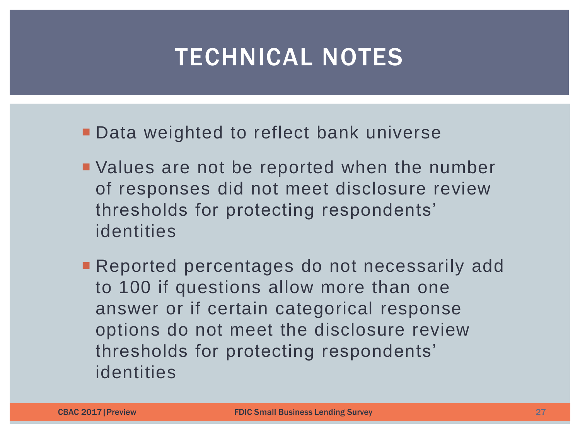- **Data weighted to reflect bank universe**
- Values are not be reported when the number of responses did not meet disclosure review thresholds for protecting respondents' identities
- **Reported percentages do not necessarily add** to 100 if questions allow more than one answer or if certain categorical response options do not meet the disclosure review thresholds for protecting respondents' identities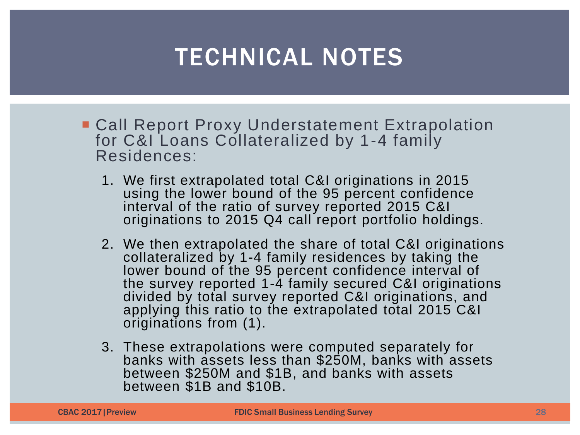- **Call Report Proxy Understatement Extrapolation** for C&I Loans Collateralized by 1-4 family Residences:
	- 1. We first extrapolated total C&I originations in 2015 using the lower bound of the 95 percent confidence interval of the ratio of survey reported 2015 C&I originations to 2015 Q4 call report portfolio holdings.
	- 2. We then extrapolated the share of total C&I originations collateralized by 1-4 family residences by taking the lower bound of the 95 percent confidence interval of the survey reported 1-4 family secured C&I originations divided by total survey reported C&I originations, and applying this ratio to the extrapolated total 2015 C&I originations from (1).
	- 3. These extrapolations were computed separately for banks with assets less than \$250M, banks with assets between \$250M and \$1B, and banks with assets between \$1B and \$10B.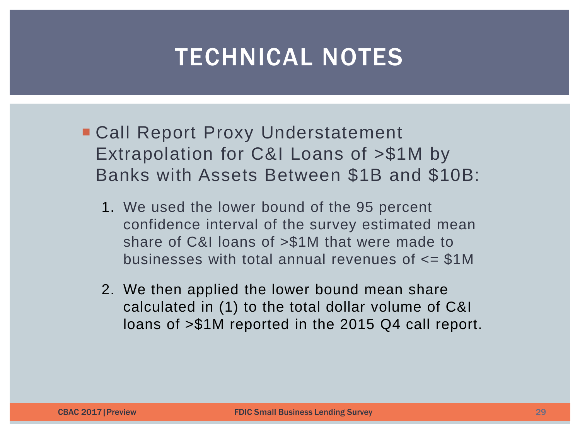- Call Report Proxy Understatement Extrapolation for C&I Loans of >\$1M by Banks with Assets Between \$1B and \$10B:
	- 1. We used the lower bound of the 95 percent confidence interval of the survey estimated mean share of C&I loans of >\$1M that were made to businesses with total annual revenues of <= \$1M
	- 2. We then applied the lower bound mean share calculated in (1) to the total dollar volume of C&I loans of >\$1M reported in the 2015 Q4 call report.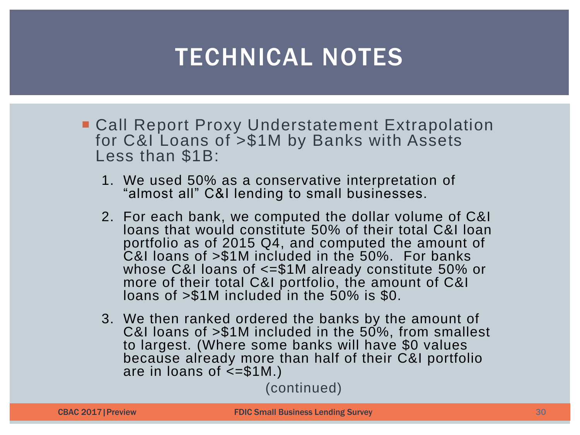- **Call Report Proxy Understatement Extrapolation** for C&I Loans of >\$1M by Banks with Assets Less than \$1B:
	- 1. We used 50% as a conservative interpretation of "almost all" C&I lending to small businesses.
	- 2. For each bank, we computed the dollar volume of C&I loans that would constitute 50% of their total C&I loan portfolio as of 2015 Q4, and computed the amount of C&I loans of >\$1M included in the 50%. For banks whose C&I loans of <=\$1M already constitute 50% or more of their total C&I portfolio, the amount of C&I loans of >\$1M included in the 50% is \$0.
	- 3. We then ranked ordered the banks by the amount of C&I loans of >\$1M included in the 50%, from smallest to largest. (Where some banks will have \$0 values because already more than half of their C&I portfolio are in loans of  $\leq$ =\$1M.)

(continued)